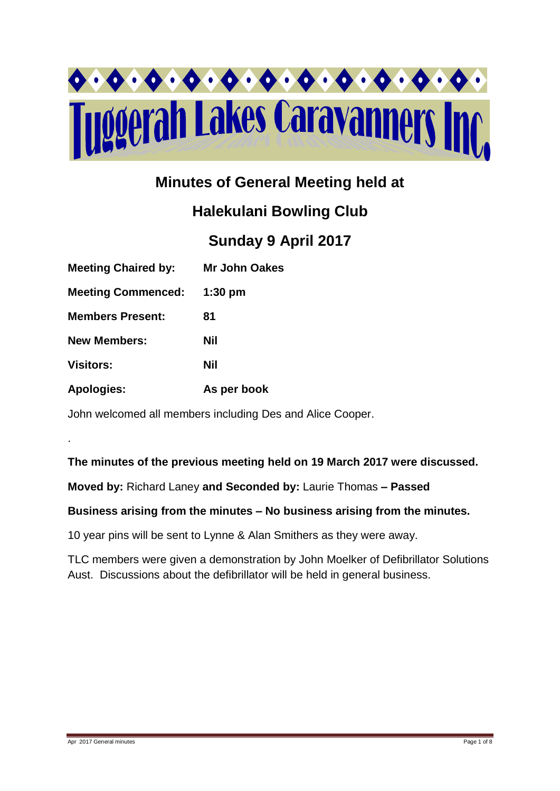

# **Minutes of General Meeting held at**

# **Halekulani Bowling Club**

# **Sunday 9 April 2017**

| <b>Meeting Chaired by:</b> | Mr John Oakes |
|----------------------------|---------------|
| <b>Meeting Commenced:</b>  | $1:30$ pm     |
| <b>Members Present:</b>    | 81            |
| <b>New Members:</b>        | Nil           |
| <b>Visitors:</b>           | Nil           |
| <b>Apologies:</b>          | As per book   |

John welcomed all members including Des and Alice Cooper.

# **The minutes of the previous meeting held on 19 March 2017 were discussed.**

**Moved by:** Richard Laney **and Seconded by:** Laurie Thomas **– Passed** 

### **Business arising from the minutes – No business arising from the minutes.**

10 year pins will be sent to Lynne & Alan Smithers as they were away.

TLC members were given a demonstration by John Moelker of Defibrillator Solutions Aust. Discussions about the defibrillator will be held in general business.

.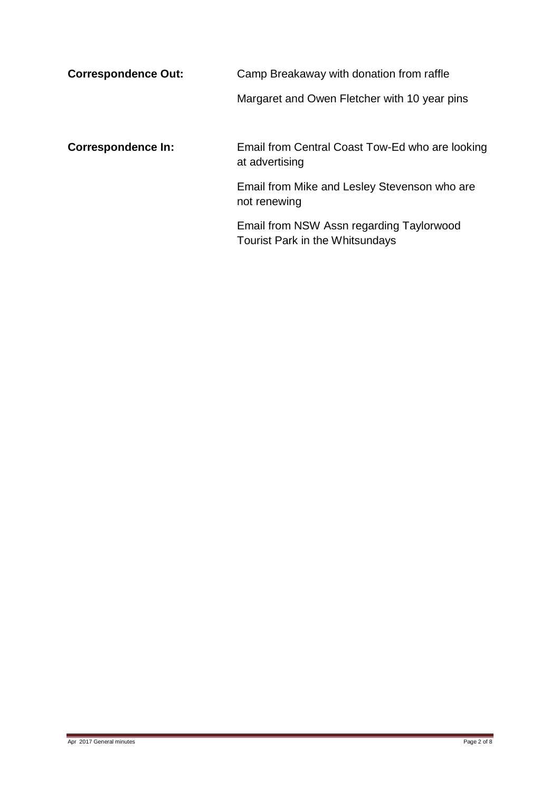| <b>Correspondence Out:</b> | Camp Breakaway with donation from raffle                                    |  |  |
|----------------------------|-----------------------------------------------------------------------------|--|--|
|                            | Margaret and Owen Fletcher with 10 year pins                                |  |  |
| <b>Correspondence In:</b>  | Email from Central Coast Tow-Ed who are looking<br>at advertising           |  |  |
|                            | Email from Mike and Lesley Stevenson who are<br>not renewing                |  |  |
|                            | Email from NSW Assn regarding Taylorwood<br>Tourist Park in the Whitsundays |  |  |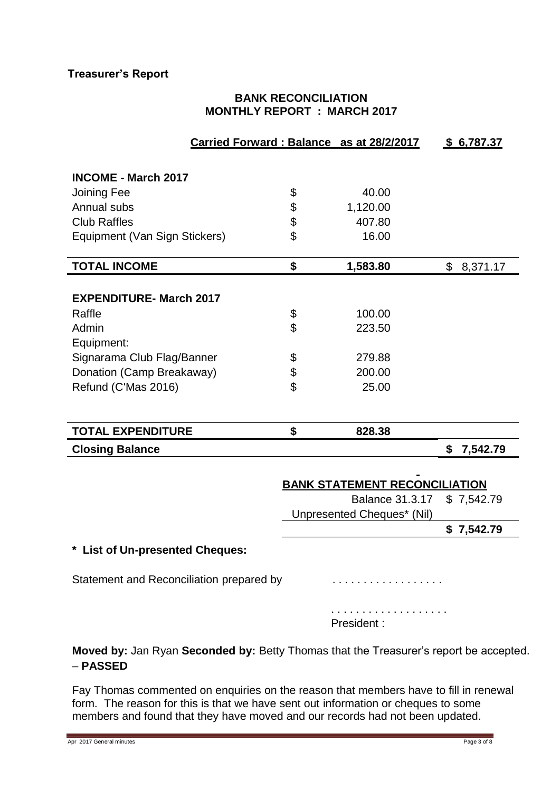## **BANK RECONCILIATION MONTHLY REPORT : MARCH 2017**

| Carried Forward: Balance as at 28/2/2017                   |                                      |                            |    | \$6,787.37 |  |
|------------------------------------------------------------|--------------------------------------|----------------------------|----|------------|--|
|                                                            |                                      |                            |    |            |  |
| <b>INCOME - March 2017</b>                                 |                                      |                            |    |            |  |
| Joining Fee                                                | \$                                   | 40.00                      |    |            |  |
| Annual subs                                                | \$                                   | 1,120.00                   |    |            |  |
| <b>Club Raffles</b>                                        | \$                                   | 407.80                     |    |            |  |
| Equipment (Van Sign Stickers)                              | \$                                   | 16.00                      |    |            |  |
| <b>TOTAL INCOME</b>                                        | \$                                   | 1,583.80                   | \$ | 8,371.17   |  |
|                                                            |                                      |                            |    |            |  |
| <b>EXPENDITURE- March 2017</b>                             |                                      |                            |    |            |  |
| Raffle                                                     | \$                                   | 100.00                     |    |            |  |
| Admin                                                      | \$                                   | 223.50                     |    |            |  |
| Equipment:                                                 |                                      |                            |    |            |  |
| Signarama Club Flag/Banner                                 | \$                                   | 279.88                     |    |            |  |
| Donation (Camp Breakaway)                                  | \$                                   | 200.00                     |    |            |  |
| Refund (C'Mas 2016)                                        | \$                                   | 25.00                      |    |            |  |
|                                                            |                                      |                            |    |            |  |
| <b>TOTAL EXPENDITURE</b>                                   | \$                                   | 828.38                     |    |            |  |
| <b>Closing Balance</b>                                     |                                      |                            | \$ | 7,542.79   |  |
|                                                            |                                      |                            |    |            |  |
|                                                            | <b>BANK STATEMENT RECONCILIATION</b> |                            |    |            |  |
|                                                            |                                      | <b>Balance 31.3.17</b>     |    | \$7,542.79 |  |
|                                                            |                                      | Unpresented Cheques* (Nil) |    |            |  |
|                                                            |                                      |                            |    | \$7,542.79 |  |
| <b>List of Un-presented Cheques:</b>                       |                                      |                            |    |            |  |
| Statement and Reconciliation prepared by                   |                                      |                            |    |            |  |
|                                                            |                                      | President:                 |    |            |  |
| lon Duan Cesanded buy Detty Thomas that the Treasurer's re |                                      |                            |    |            |  |

**Moved by:** Jan Ryan **Seconded by:** Betty Thomas that the Treasurer's report be accepted. – **PASSED**

Fay Thomas commented on enquiries on the reason that members have to fill in renewal form. The reason for this is that we have sent out information or cheques to some members and found that they have moved and our records had not been updated.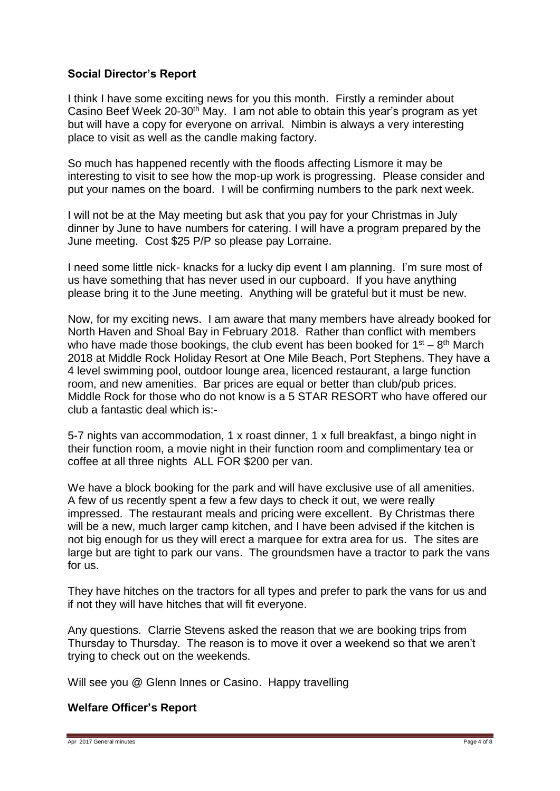### **Social Director's Report**

I think I have some exciting news for you this month. Firstly a reminder about Casino Beef Week 20-30<sup>th</sup> May. I am not able to obtain this year's program as yet but will have a copy for everyone on arrival. Nimbin is always a very interesting place to visit as well as the candle making factory.

So much has happened recently with the floods affecting Lismore it may be interesting to visit to see how the mop-up work is progressing. Please consider and put your names on the board. I will be confirming numbers to the park next week.

I will not be at the May meeting but ask that you pay for your Christmas in July dinner by June to have numbers for catering. I will have a program prepared by the June meeting. Cost \$25 P/P so please pay Lorraine.

I need some little nick- knacks for a lucky dip event I am planning. I'm sure most of us have something that has never used in our cupboard. If you have anything please bring it to the June meeting. Anything will be grateful but it must be new.

Now, for my exciting news. I am aware that many members have already booked for North Haven and Shoal Bay in February 2018. Rather than conflict with members who have made those bookings, the club event has been booked for  $1<sup>st</sup> - 8<sup>th</sup>$  March 2018 at Middle Rock Holiday Resort at One Mile Beach, Port Stephens. They have a 4 level swimming pool, outdoor lounge area, licenced restaurant, a large function room, and new amenities. Bar prices are equal or better than club/pub prices. Middle Rock for those who do not know is a 5 STAR RESORT who have offered our club a fantastic deal which is:-

5-7 nights van accommodation, 1 x roast dinner, 1 x full breakfast, a bingo night in their function room, a movie night in their function room and complimentary tea or coffee at all three nights ALL FOR \$200 per van.

We have a block booking for the park and will have exclusive use of all amenities. A few of us recently spent a few a few days to check it out, we were really impressed. The restaurant meals and pricing were excellent. By Christmas there will be a new, much larger camp kitchen, and I have been advised if the kitchen is not big enough for us they will erect a marquee for extra area for us. The sites are large but are tight to park our vans. The groundsmen have a tractor to park the vans for us.

They have hitches on the tractors for all types and prefer to park the vans for us and if not they will have hitches that will fit everyone.

Any questions. Clarrie Stevens asked the reason that we are booking trips from Thursday to Thursday. The reason is to move it over a weekend so that we aren't trying to check out on the weekends.

Will see you @ Glenn Innes or Casino. Happy travelling

#### **Welfare Officer's Report**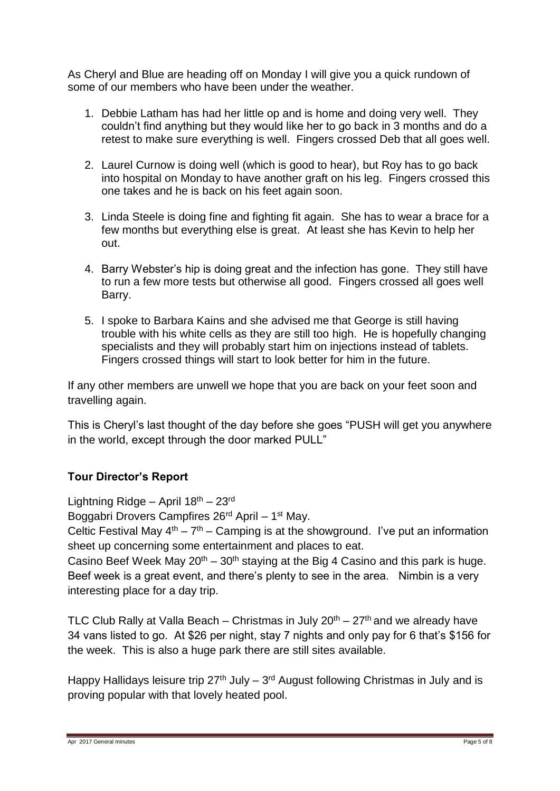As Cheryl and Blue are heading off on Monday I will give you a quick rundown of some of our members who have been under the weather.

- 1. Debbie Latham has had her little op and is home and doing very well. They couldn't find anything but they would like her to go back in 3 months and do a retest to make sure everything is well. Fingers crossed Deb that all goes well.
- 2. Laurel Curnow is doing well (which is good to hear), but Roy has to go back into hospital on Monday to have another graft on his leg. Fingers crossed this one takes and he is back on his feet again soon.
- 3. Linda Steele is doing fine and fighting fit again. She has to wear a brace for a few months but everything else is great. At least she has Kevin to help her out.
- 4. Barry Webster's hip is doing great and the infection has gone. They still have to run a few more tests but otherwise all good. Fingers crossed all goes well Barry.
- 5. I spoke to Barbara Kains and she advised me that George is still having trouble with his white cells as they are still too high. He is hopefully changing specialists and they will probably start him on injections instead of tablets. Fingers crossed things will start to look better for him in the future.

If any other members are unwell we hope that you are back on your feet soon and travelling again.

This is Cheryl's last thought of the day before she goes "PUSH will get you anywhere in the world, except through the door marked PULL"

# **Tour Director's Report**

Lightning Ridge – April  $18<sup>th</sup> - 23<sup>rd</sup>$ 

Boggabri Drovers Campfires 26<sup>rd</sup> April - 1<sup>st</sup> May.

Celtic Festival May  $4^{th} - 7^{th} -$  Camping is at the showground. I've put an information sheet up concerning some entertainment and places to eat.

Casino Beef Week May  $20^{th} - 30^{th}$  staying at the Big 4 Casino and this park is huge. Beef week is a great event, and there's plenty to see in the area. Nimbin is a very interesting place for a day trip.

TLC Club Rally at Valla Beach – Christmas in July  $20<sup>th</sup> - 27<sup>th</sup>$  and we already have 34 vans listed to go. At \$26 per night, stay 7 nights and only pay for 6 that's \$156 for the week. This is also a huge park there are still sites available.

Happy Hallidays leisure trip  $27<sup>th</sup>$  July –  $3<sup>rd</sup>$  August following Christmas in July and is proving popular with that lovely heated pool.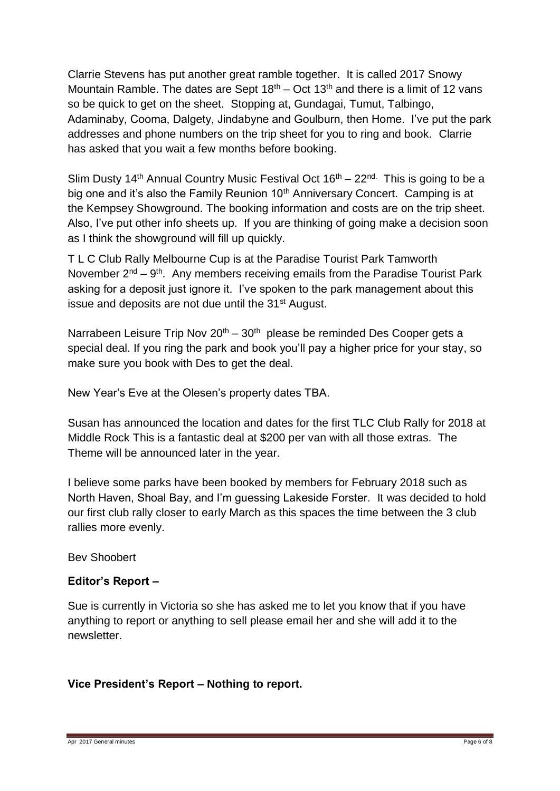Clarrie Stevens has put another great ramble together. It is called 2017 Snowy Mountain Ramble. The dates are Sept  $18<sup>th</sup> - Oct 13<sup>th</sup>$  and there is a limit of 12 vans so be quick to get on the sheet. Stopping at, Gundagai, Tumut, Talbingo, Adaminaby, Cooma, Dalgety, Jindabyne and Goulburn, then Home. I've put the park addresses and phone numbers on the trip sheet for you to ring and book. Clarrie has asked that you wait a few months before booking.

Slim Dusty 14<sup>th</sup> Annual Country Music Festival Oct  $16<sup>th</sup> - 22<sup>nd</sup>$ . This is going to be a big one and it's also the Family Reunion 10<sup>th</sup> Anniversary Concert. Camping is at the Kempsey Showground. The booking information and costs are on the trip sheet. Also, I've put other info sheets up. If you are thinking of going make a decision soon as I think the showground will fill up quickly.

T L C Club Rally Melbourne Cup is at the Paradise Tourist Park Tamworth November  $2^{nd} - 9^{th}$ . Any members receiving emails from the Paradise Tourist Park asking for a deposit just ignore it. I've spoken to the park management about this issue and deposits are not due until the  $31<sup>st</sup>$  August.

Narrabeen Leisure Trip Nov  $20<sup>th</sup> - 30<sup>th</sup>$  please be reminded Des Cooper gets a special deal. If you ring the park and book you'll pay a higher price for your stay, so make sure you book with Des to get the deal.

New Year's Eve at the Olesen's property dates TBA.

Susan has announced the location and dates for the first TLC Club Rally for 2018 at Middle Rock This is a fantastic deal at \$200 per van with all those extras. The Theme will be announced later in the year.

I believe some parks have been booked by members for February 2018 such as North Haven, Shoal Bay, and I'm guessing Lakeside Forster. It was decided to hold our first club rally closer to early March as this spaces the time between the 3 club rallies more evenly.

Bev Shoobert

# **Editor's Report –**

Sue is currently in Victoria so she has asked me to let you know that if you have anything to report or anything to sell please email her and she will add it to the newsletter.

# **Vice President's Report – Nothing to report.**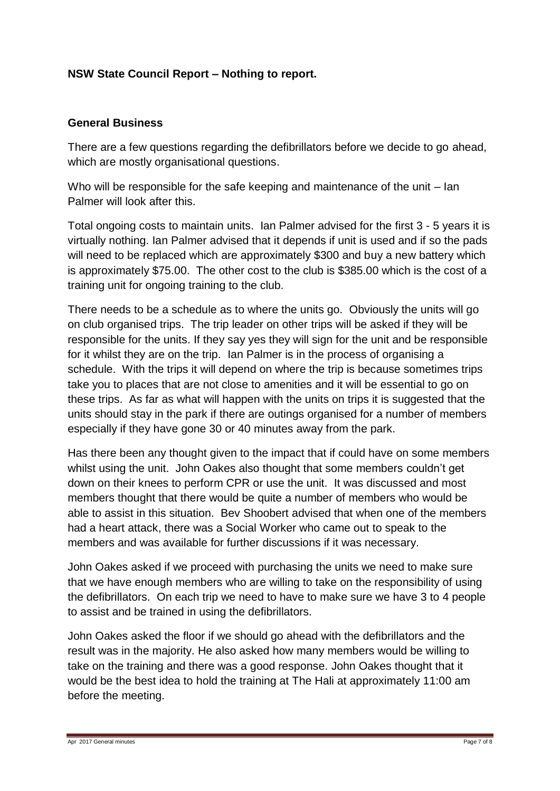## **NSW State Council Report – Nothing to report.**

### **General Business**

There are a few questions regarding the defibrillators before we decide to go ahead, which are mostly organisational questions.

Who will be responsible for the safe keeping and maintenance of the unit – lan Palmer will look after this.

Total ongoing costs to maintain units. Ian Palmer advised for the first 3 - 5 years it is virtually nothing. Ian Palmer advised that it depends if unit is used and if so the pads will need to be replaced which are approximately \$300 and buy a new battery which is approximately \$75.00. The other cost to the club is \$385.00 which is the cost of a training unit for ongoing training to the club.

There needs to be a schedule as to where the units go. Obviously the units will go on club organised trips. The trip leader on other trips will be asked if they will be responsible for the units. If they say yes they will sign for the unit and be responsible for it whilst they are on the trip. Ian Palmer is in the process of organising a schedule. With the trips it will depend on where the trip is because sometimes trips take you to places that are not close to amenities and it will be essential to go on these trips. As far as what will happen with the units on trips it is suggested that the units should stay in the park if there are outings organised for a number of members especially if they have gone 30 or 40 minutes away from the park.

Has there been any thought given to the impact that if could have on some members whilst using the unit. John Oakes also thought that some members couldn't get down on their knees to perform CPR or use the unit. It was discussed and most members thought that there would be quite a number of members who would be able to assist in this situation. Bev Shoobert advised that when one of the members had a heart attack, there was a Social Worker who came out to speak to the members and was available for further discussions if it was necessary.

John Oakes asked if we proceed with purchasing the units we need to make sure that we have enough members who are willing to take on the responsibility of using the defibrillators. On each trip we need to have to make sure we have 3 to 4 people to assist and be trained in using the defibrillators.

John Oakes asked the floor if we should go ahead with the defibrillators and the result was in the majority. He also asked how many members would be willing to take on the training and there was a good response. John Oakes thought that it would be the best idea to hold the training at The Hali at approximately 11:00 am before the meeting.